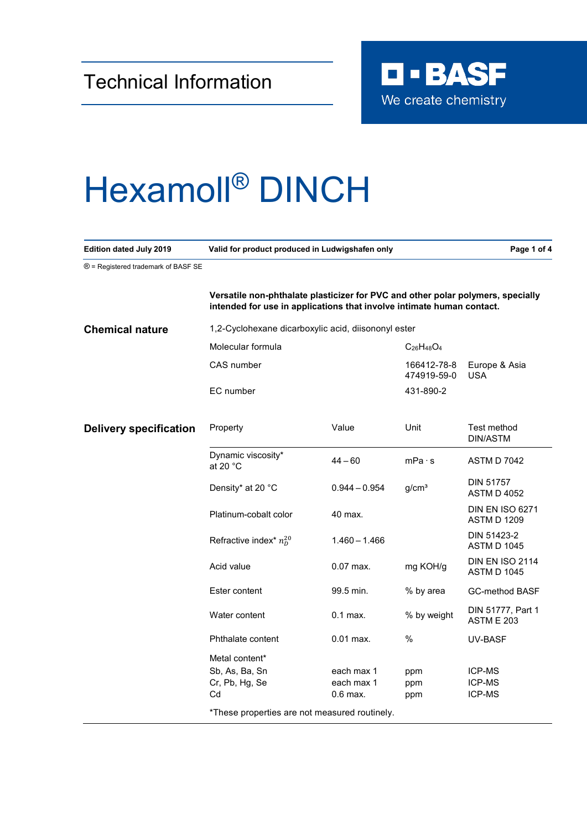

## Hexamoll® DINCH

| <b>Edition dated July 2019</b>      | Valid for product produced in Ludwigshafen only                                                                                                          |                                        |                            | Page 1 of 4                                  |
|-------------------------------------|----------------------------------------------------------------------------------------------------------------------------------------------------------|----------------------------------------|----------------------------|----------------------------------------------|
| ® = Registered trademark of BASF SE |                                                                                                                                                          |                                        |                            |                                              |
|                                     | Versatile non-phthalate plasticizer for PVC and other polar polymers, specially<br>intended for use in applications that involve intimate human contact. |                                        |                            |                                              |
| <b>Chemical nature</b>              | 1,2-Cyclohexane dicarboxylic acid, diisononyl ester                                                                                                      |                                        |                            |                                              |
|                                     | Molecular formula                                                                                                                                        |                                        | $C_{26}H_{48}O_4$          |                                              |
|                                     | CAS number                                                                                                                                               |                                        | 166412-78-8<br>474919-59-0 | Europe & Asia<br><b>USA</b>                  |
|                                     | EC number                                                                                                                                                |                                        | 431-890-2                  |                                              |
| <b>Delivery specification</b>       | Property                                                                                                                                                 | Value                                  | Unit                       | Test method<br>DIN/ASTM                      |
|                                     | Dynamic viscosity*<br>at 20 $^{\circ}$ C                                                                                                                 | $44 - 60$                              | mPa·s                      | <b>ASTM D 7042</b>                           |
|                                     | Density* at 20 °C                                                                                                                                        | $0.944 - 0.954$                        | g/cm <sup>3</sup>          | <b>DIN 51757</b><br><b>ASTM D 4052</b>       |
|                                     | Platinum-cobalt color                                                                                                                                    | 40 max.                                |                            | <b>DIN EN ISO 6271</b><br>ASTM D 1209        |
|                                     | Refractive index* $n_D^{20}$                                                                                                                             | $1.460 - 1.466$                        |                            | DIN 51423-2<br><b>ASTM D 1045</b>            |
|                                     | Acid value                                                                                                                                               | $0.07$ max.                            | mg KOH/g                   | <b>DIN EN ISO 2114</b><br><b>ASTM D 1045</b> |
|                                     | Ester content                                                                                                                                            | 99.5 min.                              | % by area                  | <b>GC-method BASF</b>                        |
|                                     | Water content                                                                                                                                            | $0.1$ max.                             | % by weight                | DIN 51777, Part 1<br><b>ASTM E 203</b>       |
|                                     | Phthalate content                                                                                                                                        | $0.01$ max.                            | $\%$                       | UV-BASF                                      |
|                                     | Metal content*<br>Sb, As, Ba, Sn<br>Cr, Pb, Hg, Se<br>Cd                                                                                                 | each max 1<br>each max 1<br>$0.6$ max. | ppm<br>ppm<br>ppm          | ICP-MS<br><b>ICP-MS</b><br>ICP-MS            |
|                                     | *These properties are not measured routinely.                                                                                                            |                                        |                            |                                              |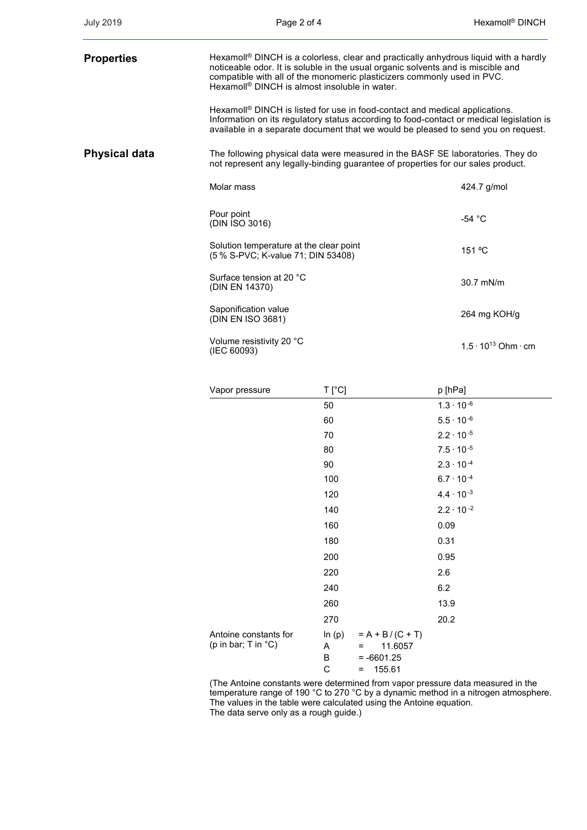| <b>Properties</b> | Hexamoll <sup>®</sup> DINCH is a colorless, clear and practically anhydrous liquid with a hardly<br>noticeable odor. It is soluble in the usual organic solvents and is miscible and<br>compatible with all of the monomeric plasticizers commonly used in PVC.<br>Hexamoll <sup>®</sup> DINCH is almost insoluble in water. |                                    |
|-------------------|------------------------------------------------------------------------------------------------------------------------------------------------------------------------------------------------------------------------------------------------------------------------------------------------------------------------------|------------------------------------|
|                   | Hexamoll <sup>®</sup> DINCH is listed for use in food-contact and medical applications.<br>Information on its regulatory status according to food-contact or medical legislation is<br>available in a separate document that we would be pleased to send you on request.                                                     |                                    |
| Physical data     | The following physical data were measured in the BASF SE laboratories. They do<br>not represent any legally-binding guarantee of properties for our sales product.                                                                                                                                                           |                                    |
|                   | Molar mass                                                                                                                                                                                                                                                                                                                   | 424.7 g/mol                        |
|                   | Pour point<br>(DIN ISO 3016)                                                                                                                                                                                                                                                                                                 | -54 $^{\circ}$ C                   |
|                   | Solution temperature at the clear point<br>(5 % S-PVC; K-value 71; DIN 53408)                                                                                                                                                                                                                                                | 151 °C                             |
|                   | Surface tension at 20 °C<br>(DIN EN 14370)                                                                                                                                                                                                                                                                                   | 30.7 mN/m                          |
|                   | Saponification value<br>(DIN EN ISO 3681)                                                                                                                                                                                                                                                                                    | 264 mg KOH/g                       |
|                   | Volume resistivity 20 °C<br>(IEC 60093)                                                                                                                                                                                                                                                                                      | $1.5 \cdot 10^{13}$ Ohm $\cdot$ cm |
|                   |                                                                                                                                                                                                                                                                                                                              |                                    |

| Vapor pressure                                         | T [°C]                  |                                                                                  | p [hPa]             |  |
|--------------------------------------------------------|-------------------------|----------------------------------------------------------------------------------|---------------------|--|
|                                                        | 50                      |                                                                                  | $1.3 \cdot 10^{-6}$ |  |
|                                                        | 60                      |                                                                                  | $5.5 \cdot 10^{-6}$ |  |
|                                                        | 70                      |                                                                                  | $2.2 \cdot 10^{-5}$ |  |
|                                                        | 80                      |                                                                                  | $7.5 \cdot 10^{-5}$ |  |
|                                                        | 90                      |                                                                                  | $2.3 \cdot 10^{-4}$ |  |
|                                                        | 100                     |                                                                                  | $6.7 \cdot 10^{-4}$ |  |
|                                                        | 120                     |                                                                                  | $4.4 \cdot 10^{-3}$ |  |
|                                                        | 140                     |                                                                                  | $2.2 \cdot 10^{-2}$ |  |
|                                                        | 160                     |                                                                                  | 0.09                |  |
|                                                        | 180                     |                                                                                  | 0.31                |  |
|                                                        | 200                     |                                                                                  | 0.95                |  |
|                                                        | 220                     |                                                                                  | 2.6                 |  |
|                                                        | 240                     |                                                                                  | 6.2                 |  |
|                                                        | 260                     |                                                                                  | 13.9                |  |
|                                                        | 270                     |                                                                                  | 20.2                |  |
| Antoine constants for<br>(p in bar; T in $^{\circ}$ C) | In $(p)$<br>A<br>B<br>C | $= A + B / (C + T)$<br>11.6057<br>$\equiv$<br>$= -6601.25$<br>155.61<br>$\equiv$ |                     |  |

(The Antoine constants were determined from vapor pressure data measured in the temperature range of 190 °C to 270 °C by a dynamic method in a nitrogen atmosphere. The values in the table were calculated using the Antoine equation. The data serve only as a rough guide.)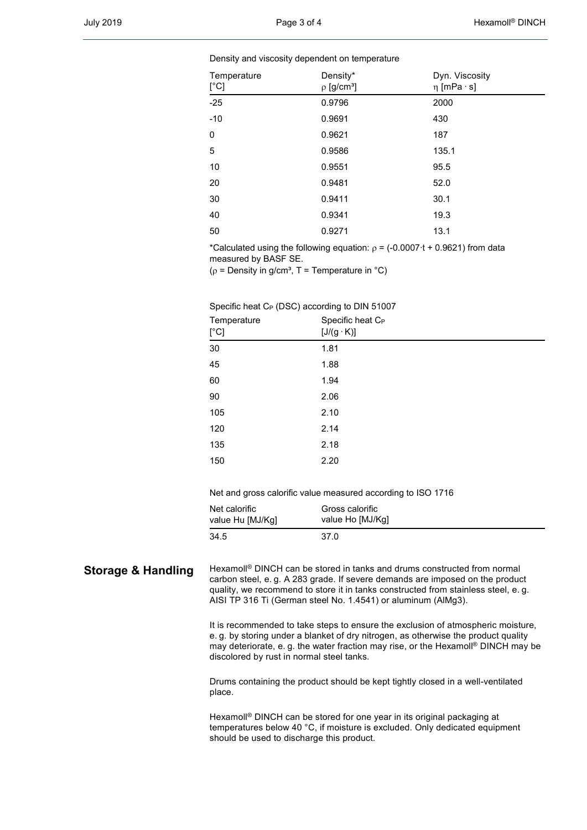## Density and viscosity dependent on temperature

| Temperature<br>$[^{\circ}C]$ | Density*<br>$\rho$ [g/cm <sup>3</sup> ] | Dyn. Viscosity<br>$\eta$ [mPa $\cdot$ s] |
|------------------------------|-----------------------------------------|------------------------------------------|
| $-25$                        | 0.9796                                  | 2000                                     |
| $-10$                        | 0.9691                                  | 430                                      |
| $\mathbf 0$                  | 0.9621                                  | 187                                      |
| 5                            | 0.9586                                  | 135.1                                    |
| 10                           | 0.9551                                  | 95.5                                     |
| 20                           | 0.9481                                  | 52.0                                     |
| 30                           | 0.9411                                  | 30.1                                     |
| 40                           | 0.9341                                  | 19.3                                     |
| 50                           | 0.9271                                  | 13.1                                     |

\*Calculated using the following equation:  $\rho = (-0.0007 \cdot t + 0.9621)$  from data measured by BASF SE.

( $\rho$  = Density in g/cm<sup>3</sup>, T = Temperature in °C)

## Specific heat C<sub>P</sub> (DSC) according to DIN 51007

| Temperature<br>$[^{\circ}C]$ | Specific heat C <sub>P</sub><br>$[J/(g \cdot K)]$ |
|------------------------------|---------------------------------------------------|
| 30                           | 1.81                                              |
| 45                           | 1.88                                              |
| 60                           | 1.94                                              |
| 90                           | 2.06                                              |
| 105                          | 2.10                                              |
| 120                          | 2.14                                              |
| 135                          | 2.18                                              |
| 150                          | 2.20                                              |

Net and gross calorific value measured according to ISO 1716

| Net calorific    | Gross calorific  |
|------------------|------------------|
| value Hu [MJ/Kg] | value Ho [MJ/Kg] |
| 34.5             | 37.0             |

**Storage & Handling** Hexamoll<sup>®</sup> DINCH can be stored in tanks and drums constructed from normal carbon steel, e. g. A 283 grade. If severe demands are imposed on the product quality, we recommend to store it in tanks constructed from stainless steel, e. g. AISI TP 316 Ti (German steel No. 1.4541) or aluminum (AlMg3).

> It is recommended to take steps to ensure the exclusion of atmospheric moisture, e. g. by storing under a blanket of dry nitrogen, as otherwise the product quality may deteriorate, e. g. the water fraction may rise, or the Hexamoll® DINCH may be discolored by rust in normal steel tanks.

Drums containing the product should be kept tightly closed in a well-ventilated place.

Hexamoll® DINCH can be stored for one year in its original packaging at temperatures below 40 °C, if moisture is excluded. Only dedicated equipment should be used to discharge this product.